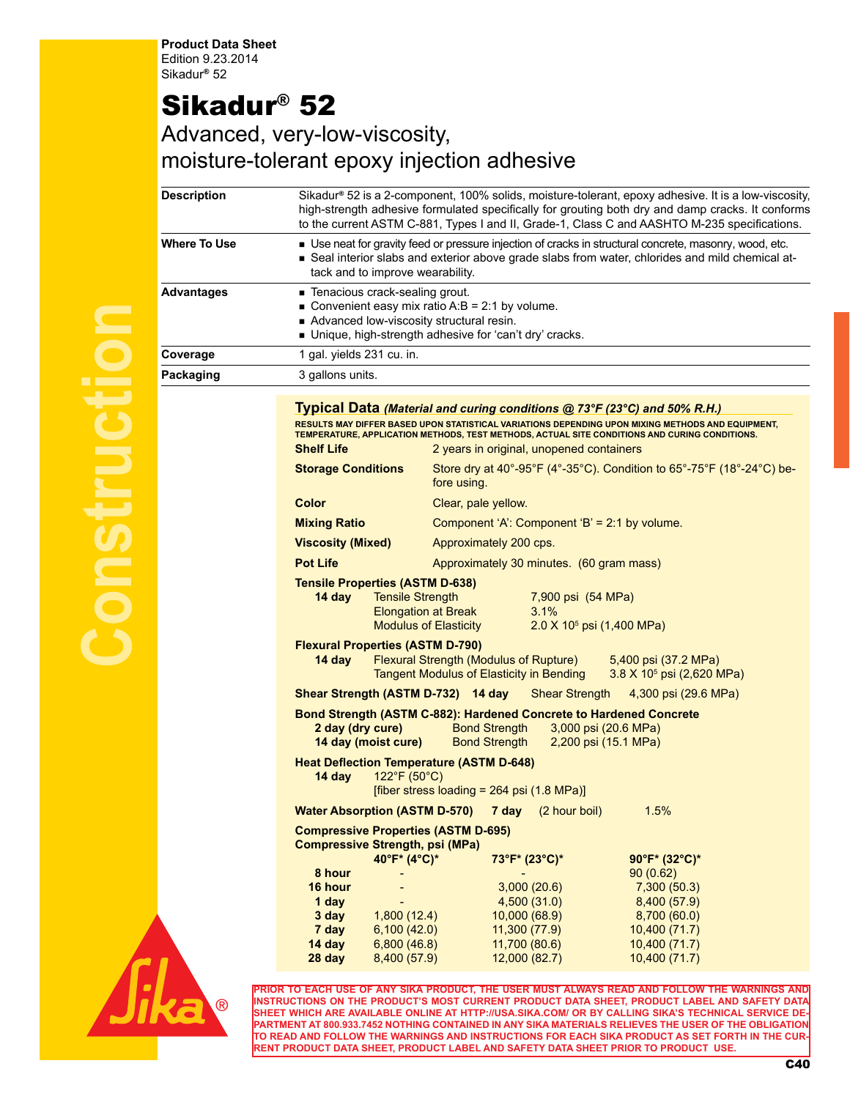**Product Data Sheet** Edition 9.23.2014 Sikadur® 52

## Sikadur® 52

## Advanced, very-low-viscosity, moisture-tolerant epoxy injection adhesive

| Description  | Sikadur® 52 is a 2-component, 100% solids, moisture-tolerant, epoxy adhesive. It is a low-viscosity,<br>high-strength adhesive formulated specifically for grouting both dry and damp cracks. It conforms<br>to the current ASTM C-881, Types I and II, Grade-1, Class C and AASHTO M-235 specifications. |  |  |  |
|--------------|-----------------------------------------------------------------------------------------------------------------------------------------------------------------------------------------------------------------------------------------------------------------------------------------------------------|--|--|--|
| Where To Use | ■ Use neat for gravity feed or pressure injection of cracks in structural concrete, masonry, wood, etc.<br>■ Seal interior slabs and exterior above grade slabs from water, chlorides and mild chemical at-<br>tack and to improve wearability.                                                           |  |  |  |
| Advantages   | Tenacious crack-sealing grout.<br>■ Convenient easy mix ratio A:B = 2:1 by volume.<br>Advanced low-viscosity structural resin.<br>Unique, high-strength adhesive for 'can't dry' cracks.                                                                                                                  |  |  |  |
| Coverage     | 1 gal. yields 231 cu. in.                                                                                                                                                                                                                                                                                 |  |  |  |
| Packaging    | 3 gallons units.                                                                                                                                                                                                                                                                                          |  |  |  |
|              |                                                                                                                                                                                                                                                                                                           |  |  |  |
|              | Typical Data (Material and curing conditions @ 73°F (23°C) and 50% R.H.)<br>RESULTS MAY DIFFER BASED UPON STATISTICAL VARIATIONS DEPENDING UPON MIXING METHODS AND EQUIPMENT,<br>TEMPERATURE, APPLICATION METHODS, TEST METHODS, ACTUAL SITE CONDITIONS AND CURING CONDITIONS.                            |  |  |  |
|              | <b>Shelf Life</b><br>2 years in original, unopened containers                                                                                                                                                                                                                                             |  |  |  |
|              | Store dry at 40°-95°F (4°-35°C). Condition to 65°-75°F (18°-24°C) be-<br><b>Storage Conditions</b><br>fore using.                                                                                                                                                                                         |  |  |  |
|              | Color<br>Clear, pale yellow.                                                                                                                                                                                                                                                                              |  |  |  |
|              | <b>Mixing Ratio</b><br>Component 'A': Component 'B' = $2:1$ by volume.                                                                                                                                                                                                                                    |  |  |  |
|              | <b>Viscosity (Mixed)</b><br>Approximately 200 cps.                                                                                                                                                                                                                                                        |  |  |  |
|              | <b>Pot Life</b><br>Approximately 30 minutes. (60 gram mass)                                                                                                                                                                                                                                               |  |  |  |
|              | <b>Tensile Properties (ASTM D-638)</b><br>14 day<br><b>Tensile Strength</b><br>7,900 psi (54 MPa)<br><b>Elongation at Break</b><br>3.1%<br><b>Modulus of Elasticity</b><br>$2.0 \times 10^5$ psi (1,400 MPa)                                                                                              |  |  |  |
|              | <b>Flexural Properties (ASTM D-790)</b><br><b>Flexural Strength (Modulus of Rupture)</b><br>14 day<br>5,400 psi (37.2 MPa)<br><b>Tangent Modulus of Elasticity in Bending</b><br>3.8 X 10 <sup>5</sup> psi (2,620 MPa)                                                                                    |  |  |  |
|              | Shear Strength (ASTM D-732) 14 day<br><b>Shear Strength</b><br>4,300 psi (29.6 MPa)                                                                                                                                                                                                                       |  |  |  |
|              | Bond Strength (ASTM C-882): Hardened Concrete to Hardened Concrete<br><b>Bond Strength</b><br>2 day (dry cure)<br>3,000 psi (20.6 MPa)<br>14 day (moist cure)<br><b>Bond Strength</b><br>2,200 psi (15.1 MPa)                                                                                             |  |  |  |
|              | <b>Heat Deflection Temperature (ASTM D-648)</b><br>$122^{\circ}F(50^{\circ}C)$<br>14 day<br>[fiber stress loading = 264 psi (1.8 MPa)]                                                                                                                                                                    |  |  |  |
|              | Water Absorption (ASTM D-570) 7 day (2 hour boil)<br>1.5%                                                                                                                                                                                                                                                 |  |  |  |
|              | <b>Compressive Properties (ASTM D-695)</b><br><b>Compressive Strength, psi (MPa)</b><br>40°F* (4°C)*<br>73°F* (23°C)*<br>90°F* (32°C)*                                                                                                                                                                    |  |  |  |
|              | 8 hour<br>90(0.62)<br>16 hour<br>3,000(20.6)<br>7,300(50.3)<br>1 day<br>4,500(31.0)<br>8,400 (57.9)<br>3 day<br>10,000 (68.9)<br>1,800(12.4)<br>8,700 (60.0)                                                                                                                                              |  |  |  |
|              | 7 day<br>6,100(42.0)<br>11,300 (77.9)<br>10,400 (71.7)<br>14 day<br>6,800(46.8)<br>11,700 (80.6)<br>10,400(71.7)<br>28 day<br>8,400 (57.9)<br>12,000 (82.7)<br>10,400 (71.7)                                                                                                                              |  |  |  |
|              |                                                                                                                                                                                                                                                                                                           |  |  |  |



**PRIOR TO EACH USE OF ANY SIKA PRODUCT, THE USER MUST ALWAYS READ AND FOLLOW THE WARNINGS AND INSTRUCTIONS ON THE PRODUCT'S MOST CURRENT PRODUCT DATA SHEET, PRODUCT LABEL AND SAFETY DATA SHEET WHICH ARE AVAILABLE ONLINE AT HTTP://USA.SIKA.COM/ OR BY CALLING SIKA'S TECHNICAL SERVICE DE-PARTMENT AT 800.933.7452 NOTHING CONTAINED IN ANY SIKA MATERIALS RELIEVES THE USER OF THE OBLIGATION TO READ AND FOLLOW THE WARNINGS AND INSTRUCTIONS FOR EACH SIKA PRODUCT AS SET FORTH IN THE CUR-RENT PRODUCT DATA SHEET, PRODUCT LABEL AND SAFETY DATA SHEET PRIOR TO PRODUCT USE.**